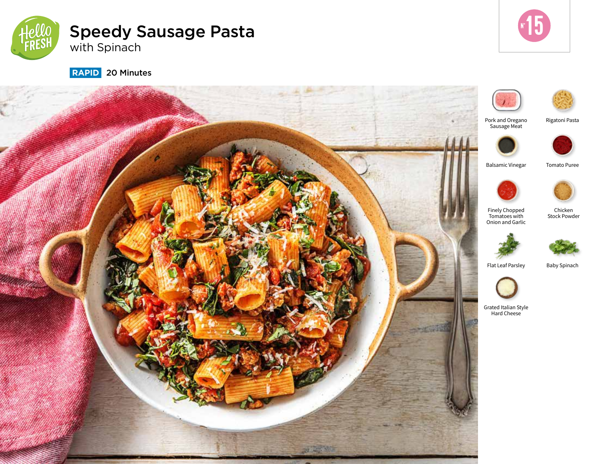

# Speedy Sausage Pasta with Spinach



 **RAPID** 20 Minutes